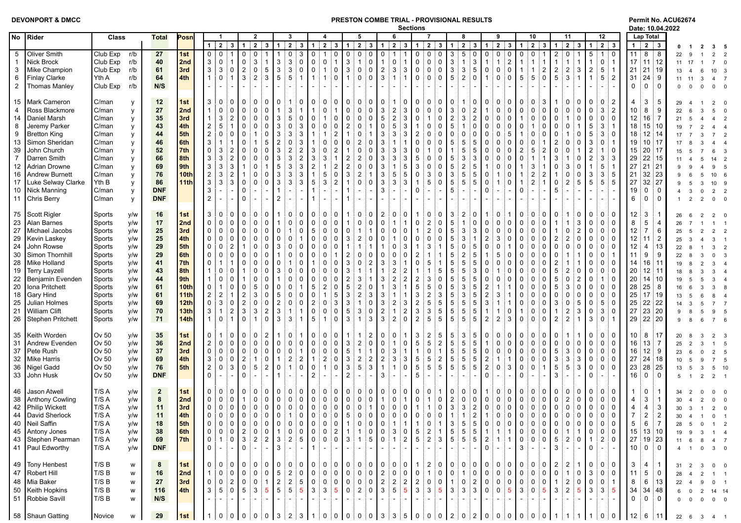| DEVONPORT & DMCC |  |  |  |  |  |  |  |
|------------------|--|--|--|--|--|--|--|
|------------------|--|--|--|--|--|--|--|

## **DEVONDE TRIAL - PROVISIONAL RESULTS**<br>Rections and the sections of the sections of the sections of the party 10.04.2022

|                                  |                                                                                                                                                       |                                                                                                                              |                                                                 |                                               |                                                                                             |                                                                             |                                                                                                                                                                                       |                                                                                                                    |                                                                                                   |                                                                                                                                                                  |                                                                                    |                                                                          |                                                                                                                                       |                                                                              |                                                                                                 |                                                                                                                                                                                    | <b>Sections</b>                                                                      |                                                                   |                                                                                                                                                               |                                                                                                                                 |                                                                                                                                                                           |                                                                                                          |                                                                                                                        |                                                                                                             |                                                                                           |                                                                                        |                                                                                                                                     |                                                                                                                                                                         |                                                                         |                                                                                                                                                     |                                                                           |                                                                          | Date: 10.04.2022                                               |                                 |                                                                       |                                                                  |       |
|----------------------------------|-------------------------------------------------------------------------------------------------------------------------------------------------------|------------------------------------------------------------------------------------------------------------------------------|-----------------------------------------------------------------|-----------------------------------------------|---------------------------------------------------------------------------------------------|-----------------------------------------------------------------------------|---------------------------------------------------------------------------------------------------------------------------------------------------------------------------------------|--------------------------------------------------------------------------------------------------------------------|---------------------------------------------------------------------------------------------------|------------------------------------------------------------------------------------------------------------------------------------------------------------------|------------------------------------------------------------------------------------|--------------------------------------------------------------------------|---------------------------------------------------------------------------------------------------------------------------------------|------------------------------------------------------------------------------|-------------------------------------------------------------------------------------------------|------------------------------------------------------------------------------------------------------------------------------------------------------------------------------------|--------------------------------------------------------------------------------------|-------------------------------------------------------------------|---------------------------------------------------------------------------------------------------------------------------------------------------------------|---------------------------------------------------------------------------------------------------------------------------------|---------------------------------------------------------------------------------------------------------------------------------------------------------------------------|----------------------------------------------------------------------------------------------------------|------------------------------------------------------------------------------------------------------------------------|-------------------------------------------------------------------------------------------------------------|-------------------------------------------------------------------------------------------|----------------------------------------------------------------------------------------|-------------------------------------------------------------------------------------------------------------------------------------|-------------------------------------------------------------------------------------------------------------------------------------------------------------------------|-------------------------------------------------------------------------|-----------------------------------------------------------------------------------------------------------------------------------------------------|---------------------------------------------------------------------------|--------------------------------------------------------------------------|----------------------------------------------------------------|---------------------------------|-----------------------------------------------------------------------|------------------------------------------------------------------|-------|
| No                               | Rider                                                                                                                                                 | Class                                                                                                                        | <b>Total</b>                                                    | Posn                                          |                                                                                             |                                                                             |                                                                                                                                                                                       | $\overline{2}$                                                                                                     |                                                                                                   | $\overline{\mathbf{3}}$                                                                                                                                          |                                                                                    |                                                                          |                                                                                                                                       | 5                                                                            |                                                                                                 | 6                                                                                                                                                                                  |                                                                                      |                                                                   |                                                                                                                                                               |                                                                                                                                 | 8                                                                                                                                                                         |                                                                                                          | 9                                                                                                                      |                                                                                                             | 10                                                                                        |                                                                                        | 11                                                                                                                                  |                                                                                                                                                                         |                                                                         | 12                                                                                                                                                  |                                                                           | Lap Total                                                                |                                                                |                                 |                                                                       |                                                                  |       |
| 5<br>-1<br>3<br>6                | Oliver Smith<br>Nick Brock<br>Mike Champion<br><b>Finlay Clarke</b>                                                                                   | Club Exp<br>r/b<br>Club Exp<br>r/b<br>Club Exp<br>r/b<br>Yth A<br>r/b                                                        | 27<br>40<br>61<br>64                                            | 1st<br>2nd<br>3rd<br>4th                      | $\overline{0}$<br>3<br>$\mathbf{3}$                                                         | $1 \mid 2$<br>$\mathbf 0$<br>$\mathsf{O}$<br>3<br>$\mathbf 0$               | $3 \mid 1$<br>0<br>$\mathsf{O}$<br>$\overline{1}$<br>$\overline{2}$<br>$\mathbf 0$<br>3<br>$\overline{1}$                                                                             | $\overline{2}$<br>3<br>$\mathbf{3}$<br>$\overline{1}$<br>$\Omega$<br>5<br>$\overline{2}$<br>3                      | $\overline{1}$<br>$\mathbf 3$<br>$\mathbf 3$<br>5                                                 | $2 \mid 3$<br>$\Omega$<br>3<br>$\mathbf{3}$<br>$\mathbf 0$<br>3<br>$\mathbf 0$<br>5<br>$\mathbf{1}$                                                              | $\blacktriangleleft$<br>$\Omega$<br>$\mathbf 0$<br>$\mathbf 0$<br>$\mathbf{1}$     | $2 \mid 3$<br>$\mathsf{O}$<br>$\mathbf{1}$<br>$\mathbf{1}$               | $\mathbf 0$<br>0<br>$\mathbf{3}$<br>$\mathbf{3}$<br>$\mathsf{O}$<br>$\mathbf 0$<br>$\overline{1}$                                     | $1 \mid 2$<br>$\mathbf 0$<br>$\mathbf{1}$<br>$\mathbf 0$<br>$\mathbf{0}$     | $\mathbf{3}$<br>0<br>$\mathsf 0$<br>$\mathbf 0$<br>$\mathbf 0$                                  | $\overline{2}$<br>11<br>$\Omega$<br>1<br>$\mathsf{O}$<br>$\mathbf{1}$<br>$\mathbf{3}$<br>$\overline{2}$<br>3<br>$\mathbf{1}$                                                       | $3 \mid 1$<br>$\mathbf 1$<br>3<br>$\mathbf{1}$                                       | $\mathsf{O}$<br>$\mathbf 0$<br>$\mathsf{O}$<br>$\mathbf 0$        | $\mathbf{2}$<br>0<br>0<br>$\pmb{0}$<br>$\Omega$<br>$\mathsf 0$<br>$\Omega$<br>$\mathbf 0$<br>$\Omega$                                                         | $3 \mid 1$<br>3<br>$\mathbf{3}$<br>$\mathbf{3}$<br>$5\phantom{.0}$                                                              | $\overline{2}$<br>3 <sup>1</sup><br>5<br>$\mathbf 0$<br>$\overline{1}$<br>3<br>$\mathbf{3}$<br>5<br>$\overline{2}$<br>$\mathbf 0$                                         | $\overline{1}$<br>0<br>$\mathbf 0$                                                                       | $2 \mid 3$<br>$\mathsf{O}$<br>0<br>$\overline{2}$<br>$\mathbf{1}$<br>$\mathbf 0$<br>0<br>$\mathbf 0$<br>$\Omega$       | 1 <sup>1</sup><br>$\mathbf 0$<br>$\overline{1}$<br>$\overline{1}$<br>$5\phantom{.0}$                        | $\overline{2}$<br>5                                                                       | $\mathbf{3}$<br>$\overline{1}$<br>1<br>$\overline{\mathbf{c}}$<br>$\mathbf 0$          | $\overline{2}$<br>0<br>$\overline{1}$<br>$\overline{2}$<br>5                                                                        | $\mathbf{3}$<br>$-1$ <sup>-1</sup><br>$\overline{a}$<br>3<br>3                                                                                                          | $\overline{1}$<br>5<br>$\mathbf{1}$<br>$\overline{2}$<br>$\mathbf{1}$   | $\overline{2}$ 3<br>i 0<br>$\mathbf{1}$<br>$0 \mid 1$<br>$\sqrt{5}$<br>-1<br>$\sqrt{5}$<br>$\overline{2}$                                           | 1 <sup>1</sup><br>11<br>21<br>31                                          | $\overline{2}$ $\overline{3}$<br>8<br>$17$ 11 12<br>21 19<br>$24 \mid 9$ | <b>8</b>                                                       | 22<br>11<br>13<br>11 11         | 17<br>$\mathcal{R}$                                                   | $3^{\circ}$<br>$7^{\circ}$<br>10 <sup>1</sup><br>$\overline{4}$  |       |
| $\overline{2}$<br>15<br>4        | Thomas Manley<br>Mark Cameron<br>Ross Blackmore                                                                                                       | Club Exp<br>r/b<br>C/man<br>y<br>C/man                                                                                       | N/S<br>12<br>27                                                 | 1st<br>2nd                                    |                                                                                             | $\Omega$<br>$\mathbf 0$                                                     | $\Omega$<br>$\mathbf 0$<br>$\Omega$                                                                                                                                                   | $\Omega$                                                                                                           |                                                                                                   | 3                                                                                                                                                                |                                                                                    | $\Omega$<br>$\Omega$                                                     | $\Omega$<br>0<br>$\overline{0}$                                                                                                       | $\mathbf{0}$                                                                 | $\Omega$<br>$\mathbf 0$                                                                         | $\overline{\mathbf{c}}$<br>3                                                                                                                                                       | 3                                                                                    | $\Omega$                                                          | $\Omega$<br>$\mathsf 0$<br>$\Omega$                                                                                                                           | 3                                                                                                                               | $\mathbf 0$<br>$\overline{2}$                                                                                                                                             |                                                                                                          | 0<br>$\mathbf{0}$<br>$\mathbf{0}$                                                                                      | $\Omega$<br>$\Omega$                                                                                        |                                                                                           | 3<br>$\mathbf 0$                                                                       | $\mathbf{0}$<br>$\Omega$                                                                                                            | $\Omega$                                                                                                                                                                |                                                                         | $\sim$<br>0<br>$\overline{2}$<br>3<br>$\overline{2}$                                                                                                | $\mathbf 0$<br>4<br>10                                                    | $\mathbf 0$<br>3<br>8                                                    | $\mathbf 0$<br>5<br>9                                          | $\Omega$<br>29                  | $\overline{0}$<br>$\Omega$                                            | $\overline{0}$<br>2                                              |       |
| 14<br>8<br>9                     | Daniel Marsh<br>Jeremy Parker<br><b>Bretton King</b>                                                                                                  | y<br>C/man<br>C/man<br>V<br>C/man                                                                                            | 35<br>43<br>44                                                  | 3rd<br>4th<br>5th                             | $\overline{c}$<br>$\overline{2}$                                                            | 3<br>5<br>$\mathbf 0$                                                       | $\overline{2}$<br>$\Omega$<br>$\overline{1}$<br>$\Omega$<br>0<br>$\Omega$                                                                                                             | $\Omega$<br>$\Omega$                                                                                               | 3<br>3<br>3                                                                                       | 5<br>$\Omega$<br>3<br>3<br>3                                                                                                                                     | $\Omega$                                                                           | $\blacktriangleleft$<br>$\Omega$                                         | $\pmb{0}$<br>$\mathbf 0$<br>$\sqrt{2}$<br>$\mathbf 0$<br>$\mathbf{2}$                                                                 | $\Omega$<br>$\Omega$<br>0                                                    | $\mathsf 0$<br>$\overline{1}$<br>1                                                              | $\overline{c}$<br>5<br>5<br>$\Omega$<br>3<br>3                                                                                                                                     | 3<br>3<br>3                                                                          | $\mathbf 0$<br>$\overline{2}$                                     | $\overline{1}$<br>$\Omega$<br>0<br>$\Omega$<br>0<br>$\Omega$                                                                                                  | $\overline{2}$<br>5<br>$\Omega$                                                                                                 | 3<br>$\overline{2}$<br>$\mathbf{0}$<br>$\Omega$<br>$\Omega$                                                                                                               | $\Omega$<br>$\Omega$<br>$\mathbf 0$                                                                      | $\mathbf{0}$<br>$\mathbf{0}$<br>$\mathbf{0}$<br>$\Omega$<br>5<br>$\mathbf{0}$                                          | $\Omega$                                                                                                    |                                                                                           | $\mathbf 0$<br>$\Omega$<br>0                                                           | $\mathbf{0}$<br>$\Omega$<br>$\Omega$<br>0                                                                                           |                                                                                                                                                                         | 5<br>5                                                                  | 0<br>i 0<br>$\ensuremath{\mathsf{3}}$<br>-1<br>$\mathbf{3}$<br>i 0                                                                                  | 12<br>18<br>18                                                            | $16 \mid 7$                                                              | 15 10<br>$12 \overline{\phantom{a}} 14$                        | 22<br>21                        |                                                                       |                                                                  |       |
| 13<br>39<br>$\overline{7}$<br>12 | Simon Sheridan<br>John Church<br>Darren Smith<br>Adrian Drowne                                                                                        | C/man<br>C/man<br>C/man<br>C/man                                                                                             | 46<br>52<br>66<br>69                                            | 6th<br>7th<br>8th<br>9th                      | 3<br>$\mathbf 0$<br>3<br>$\mathbf{3}$                                                       | 3<br>3<br>3                                                                 | $\overline{2}$<br>$\Omega$<br>$\overline{2}$<br>$\Omega$<br>3                                                                                                                         | 5<br>$\Omega$<br>$\Omega$<br>$\Omega$<br>-1                                                                        | $\overline{c}$<br>3<br>3<br>5                                                                     | $\mathbf{0}$<br>3<br>$\overline{2}$<br>$\overline{2}$<br>3<br>$\overline{2}$<br>3<br>3                                                                           | 3<br>3<br>$\overline{c}$                                                           | $\Omega$<br>0<br>3                                                       | $\mathbf 0$<br>$\mathbf 0$<br>$\overline{2}$<br>$\sqrt{2}$<br>$\sqrt{2}$<br>$\overline{2}$                                            | $\overline{2}$<br>$\mathbf 0$<br>$\overline{2}$<br>$\mathbf 0$               | 0<br>0<br>0<br>0                                                                                | 3<br>3<br>3<br>3                                                                                                                                                                   | 3<br>3<br>5                                                                          | $\Omega$<br>$\Omega$<br>5<br>3                                    | $\mathbf 0$<br>$\Omega$<br>$\mathbf 0$<br>$\Omega$<br>$\mathsf 0$<br>$\Omega$                                                                                 | 5<br>5<br>5                                                                                                                     | 5<br>5<br>5<br>5<br>3<br>3<br>$\overline{2}$<br>5                                                                                                                         | $\mathbf 0$<br>$\mathbf 0$<br>$\Omega$                                                                   | $\mathbf{0}$<br>$\Omega$<br>0<br>0<br>$\Omega$<br>$\Omega$<br>$\mathbf 0$<br>0                                         | $\mathbf 0$<br>$\overline{2}$<br>$\Omega$                                                                   | 5<br>3                                                                                    | 1<br>$\overline{2}$<br>1<br>1                                                          | $\Omega$<br>0<br>3<br>$\Omega$                                                                                                      | $\Omega$                                                                                                                                                                | 3<br>$\overline{2}$                                                     | $\mathsf 0$<br>$\mathbf{1}$<br>i 0<br>$\mathbf{3}$<br>! 3<br>$\sqrt{5}$<br>⊟1                                                                       | 19<br>15<br>29<br>27                                                      | 20 17<br>$22$ 15<br>$21 \ 21$                                            | 10 17                                                          |                                 |                                                                       | 14                                                               |       |
| 16<br>17<br>10<br>11             | <b>Andrew Burnett</b><br>Luke Selway Clarke<br>Nick Manning<br>Chris Berry                                                                            | v<br>C/man<br><b>V</b><br>Yth B<br>y<br>C/man<br>У<br>C/man<br>$\mathsf{v}$                                                  | 76<br>86<br><b>DNF</b><br><b>DNF</b>                            | 10th<br>11th                                  | $\overline{2}$<br>$\mathbf{3}$<br>3<br>$\overline{2}$                                       | 3<br>3                                                                      | $\overline{2}$<br>$\mathbf 3$<br>$\mathbf 0$<br>0                                                                                                                                     | $\Omega$<br>$\Omega$<br>$\Omega$<br>$\Omega$                                                                       | 3<br>3<br>$\overline{2}$                                                                          | 3<br>3<br>3<br>3                                                                                                                                                 | $\sqrt{5}$                                                                         | 5<br>3                                                                   | $\sqrt{3}$<br>$\mathsf{O}$<br>$\overline{1}$<br>$\overline{2}$                                                                        | $\overline{2}$<br>$\mathbf 0$                                                | $\overline{1}$<br>$\mathbf 0$                                                                   | 5<br>3<br>3                                                                                                                                                                        | 5<br>3                                                                               | $\Omega$<br>$\mathbf{1}$<br>$\Omega$                              | $\ensuremath{\mathsf{3}}$<br>$\Omega$<br>$\sqrt{5}$<br>$\Omega$                                                                                               | 3<br>$\sqrt{5}$<br>5                                                                                                            | $5\phantom{.0}$<br>5<br>$5\phantom{.0}$<br>5                                                                                                                              | $\mathbf 0$<br>$\pmb{0}$<br>$\Omega$                                                                     | $\Omega$<br>$\mathbf 0$<br>1                                                                                           | $\overline{1}$<br>$\Omega$                                                                                  | $\overline{2}$<br>$\overline{2}$                                                          | $\overline{2}$<br>$\overline{1}$                                                       | $\mathbf 0$<br>5                                                                                                                    | $\overline{2}$<br>5                                                                                                                                                     | 3<br>5                                                                  | $\mathbf{3}$<br>: 5<br>$\sqrt{5}$<br>$5^{\circ}$                                                                                                    | 21<br>27<br>19<br>6                                                       | $32 \mid 23$<br>$32 \mid 27$<br>0<br>$\mathbf 0$                         | 0<br>$\mathbf 0$                                               |                                 | 5<br>3<br>$\overline{2}$<br>$\mathcal{P}$                             | 10 <sup>1</sup><br>10 <sup>1</sup><br>$\overline{2}$<br>$\Omega$ |       |
| 75<br>23<br>27<br>29             | Scott Rigler<br><b>Alan Barnes</b><br>Michael Jacobs<br><b>Kevin Laskey</b>                                                                           | Sports<br>y/w<br>y/w<br>Sports<br>Sports<br>y/w<br>y/w<br>Sports                                                             | 16<br>17<br>25<br>25                                            | 1st<br>2nd<br>3rd<br>4th                      | 3<br>$\mathbf 0$<br>0<br>0                                                                  | 0<br>$\mathbf 0$<br>$\mathbf 0$<br>$\mathbf 0$                              | 0<br>$\Omega$<br>$\mathbf 0$<br>$\Omega$<br>$\mathbf 0$<br>$\mathbf{0}$<br>$\mathbf 0$<br>$\Omega$                                                                                    | 0<br>$\Omega$<br>$\Omega$<br>$\Omega$<br>$\Omega$<br>$\Omega$<br>0                                                 | $\overline{1}$<br>0<br>0                                                                          | $\Omega$<br>$\Omega$<br>$\overline{0}$<br>$\mathbf 0$<br>$\mathbf 0$<br>$\Omega$                                                                                 | 0<br>$\mathbf 0$<br>5<br>$\Omega$                                                  | 0<br>0<br>$\mathbf 0$<br>$\Omega$                                        | 0<br>$\mathsf{O}$<br>$\overline{1}$<br>$\mathsf{O}$<br>$\overline{0}$<br>3<br>$\mathbf 0$                                             | 0<br>$\mathbf 0$<br>$\mathbf{1}$<br>$\overline{2}$                           | 0<br>$\mathbf 0$<br>$\mathbf{1}$<br>0                                                           | 2<br>0<br>$\mathbf 0$<br>$\mathbf{1}$<br>$\mathbf{0}$<br>0<br>1<br><sup>0</sup>                                                                                                    | $\Omega$<br>0<br>$\Omega$                                                            | $\mathbf 0$<br>$\Omega$                                           | 0<br>0<br>$\sqrt{2}$<br>$\Omega$<br>$\mathbf 2$<br>$\Omega$<br>$\mathsf 0$<br>$\Omega$                                                                        | 3<br>$\sqrt{5}$<br>$5\phantom{.0}$<br>5                                                                                         | $\overline{2}$<br>0<br>$\overline{1}$<br>$\mathbf 0$<br>$\mathbf{3}$<br>3<br>3                                                                                            | $\mathbf 0$<br>$\mathbf 0$<br>$\overline{2}$                                                             | $\Omega$<br>0<br>$\Omega$<br>$\mathbf 0$<br>$\Omega$<br>3<br>$\Omega$                                                  | $\Omega$<br>$\mathbf 0$<br>$\mathbf 0$<br>$\Omega$                                                          | 0<br>0<br>$\Omega$                                                                        | 0<br>0<br>0<br>0                                                                       | 0<br>$\overline{\mathbf{1}}$<br>$\mathbf{1}$<br>$\Omega$<br>$\overline{2}$                                                          | $\Omega$<br>3<br>$\overline{2}$<br>$\overline{a}$                                                                                                                       | 0<br>$\mathbf{0}$<br>$\Omega$                                           | 0<br>i 0<br>0<br>i 0<br>0<br>i 0<br>$\mathsf 0$<br>i 0                                                                                              | 12 <sub>2</sub><br>8<br>12 <sub>2</sub><br>12 <sub>2</sub>                | 3<br>5<br>$\overline{7}$<br>11                                           | 4<br>6<br>$\overline{2}$                                       | 26<br>26<br>25                  | 5                                                                     |                                                                  |       |
| 24<br>30<br>28<br>19             | John Rowse<br>Simon Thornhill<br>Mike Holland<br><b>Terry Layzell</b>                                                                                 | Sports<br>y/w<br>Sports<br>y/w<br>Sports<br>y/w<br>y/w<br>Sports                                                             | 29<br>29<br>41<br>43                                            | 5th<br>6th<br>7th<br>8th                      | 0<br>0<br>$\mathbf{0}$                                                                      | $\mathbf 0$<br>$\mathbf 0$<br>$\mathbf 0$                                   | $\overline{2}$<br>$\mathbf 0$<br>$\Omega$<br>0                                                                                                                                        | $\Omega$<br>0                                                                                                      | 3<br>$\Omega$<br>3                                                                                | $\Omega$<br>0<br>$\Omega$<br>$\Omega$<br>$\mathbf{0}$<br>$\Omega$                                                                                                | $\Omega$<br>$\Omega$                                                               | $\Omega$<br>$\Omega$<br>$\Omega$<br>$\Omega$                             | $\Omega$<br>$\overline{c}$<br>3<br>$\Omega$<br>3<br>$\Omega$                                                                          | $\Omega$<br>$\Omega$                                                         | $\mathbf{1}$<br>$\Omega$<br>$\overline{2}$<br>$\overline{1}$                                    | $\Omega$<br>$\Omega$<br>3<br>3<br>$\overline{2}$                                                                                                                                   | 3<br>$\Omega$                                                                        | $\overline{2}$<br>$\Omega$                                        | 3<br>5<br>1<br>5                                                                                                                                              | 5<br>5<br>5<br>5                                                                                                                | $\mathbf 0$<br>5<br>$\overline{2}$<br>5<br>5<br>5<br>3                                                                                                                    | $\mathbf 0$<br>$\Omega$<br>$\Omega$                                                                      | $\Omega$<br>5<br>0<br>$\Omega$<br>$\Omega$<br>$\Omega$                                                                 | $\Omega$<br>$\Omega$<br>$\Omega$<br>$\Omega$                                                                |                                                                                           | $\mathbf 0$<br>$\Omega$<br>$\mathbf 0$<br>$\mathbf 0$                                  | $\Omega$<br>$\Omega$<br>$\Omega$<br>$\overline{2}$<br>$\overline{2}$<br>5                                                           | $\Omega$                                                                                                                                                                | $\Omega$                                                                | $\mathsf 0$<br>i 0<br>0<br>-1<br>0<br>i 0<br>$\mathbf 0$<br>: 0                                                                                     | 12 <sup>°</sup><br>11<br>14<br>20                                         | 4<br>9<br>16 !                                                           | 13<br>9<br>11<br>$12$ 11                                       | 22<br>22<br>19<br>18            |                                                                       | $\mathbf{3}$<br>$\mathbf{3}$<br>$\mathbf{3}$                     |       |
| 22<br>20<br>18<br>25<br>21<br>26 | Benjamin Evenden<br>Iona Pritchett<br><b>Gary Hind</b><br>Julian Holmes<br>William Clift<br>Stephen Pritchett                                         | y/w<br>Sports<br>y/w<br>Sports<br>Sports<br>y/w<br>y/w<br>Sports<br>y/w<br>Sports<br>y/w<br>Sports                           | 44<br>61<br>61<br>69<br>${\bf 70}$<br>71                        | 9th<br>10th<br>11th<br>12th<br>13th<br>14th   | $\mathbf 0$<br>$\overline{2}$<br>$\mathbf 0$<br>3                                           | $\mathbf 0$<br>$\overline{2}$<br>3<br>$\mathbf 0$                           | $\mathbf 0$<br>$\mathbf 0$<br>$\overline{2}$<br>$\mathbf 0$<br>2<br>$\overline{2}$<br>3<br>$\overline{1}$<br>$\mathbf 0$                                                              | 5<br>$\Omega$<br>3<br>$\Omega$<br>$\Omega$<br>3<br>$\overline{2}$<br>$\overline{1}$<br>$\mathbf{0}$                | $\Omega$<br>5<br>$\overline{\mathbf{c}}$<br>3<br>3                                                | $\Omega$<br>$\Omega$<br>$\Omega$<br>$\mathbf{0}$<br>$\mathbf 0$<br>$\mathbf{0}$<br>$\mathbf{1}$<br>3<br>$\mathbf{1}$                                             | 5<br>$\Omega$<br>$\overline{2}$<br>$\Omega$<br>5                                   | $\Omega$<br>$\overline{2}$<br>$\mathbf 0$<br>0<br>$\mathbf{1}$           | $\sqrt{2}$<br>$\Omega$<br>$\sqrt{5}$<br>$\mathbf 0$<br>3<br>5<br>$\mathbf{3}$<br>3<br>$\sqrt{5}$<br>0<br>$\mathbf{3}$<br>$\mathbf 0$  | 3<br>$\overline{2}$<br>$\overline{2}$<br>$\mathbf{1}$<br>3<br>$\mathbf{1}$   | $\mathbf{1}$<br>$\mathbf 0$<br>$\mathbf{3}$<br>$\mathbf 0$<br>$\mathsf 0$<br>3                  | $\overline{2}$<br>3<br>3<br>3<br>3<br>$\overline{2}$<br>$\overline{2}$<br>$\overline{1}$<br>$\overline{2}$<br>3                                                                    | $\overline{2}$<br>3<br>$\overline{2}$<br>$\mathsf 0$                                 | $\overline{2}$<br>5<br>3<br>$\overline{2}$<br>3<br>$\overline{2}$ | 3<br>$\Omega$<br>$\,$ 5 $\,$<br>$\Omega$<br>$\mathbf 2$<br>3<br>$\,$ 5 $\,$<br>5<br>$\frac{3}{5}$<br>5<br>5                                                   | 5<br>5<br>5<br>$\,$ 5 $\,$<br>$\sqrt{5}$<br>$5\phantom{.0}$                                                                     | 5<br>5<br>3<br>5<br>3<br>5<br>5<br>5<br>$5\phantom{.0}$<br>5<br>$5\phantom{.0}$<br>5                                                                                      | $\Omega$<br>$\overline{2}$<br>$\overline{2}$<br>$\ensuremath{\mathsf{3}}$<br>$\overline{2}$              | $\Omega$<br>$\Omega$<br>3<br>$\mathbf{1}$<br>0<br>$\overline{1}$<br>$\overline{2}$<br>3                                | $\Omega$<br>$\Omega$<br>$\Omega$<br>$\mathbf 0$<br>$\overline{1}$<br>$\mathbf 0$                            | O<br>0<br>0                                                                               | $\mathbf 0$<br>$\Omega$<br>$\Omega$<br>0<br>0<br>0                                     | 5<br>$\Omega$<br>3<br>5<br>O<br>3<br>0<br>$\overline{2}$                                                                            | $\overline{2}$<br>$\Omega$<br>5<br>$\overline{c}$<br>3<br>$\overline{2}$                                                                                                | $\mathbf{0}$<br>$\Omega$<br>0<br>3                                      | $\mathbf{1}$<br>i 0<br>0<br>! O<br>$\mathsf 0$<br>i 0<br>$\overline{5}$<br>! O<br>$\ensuremath{\mathsf{3}}$<br>i 0<br>$\mathsf 0$<br>-1             | 20<br>28<br>25<br>25<br>27                                                | $25 \mid 8$<br>$22$ 22<br>23 20<br>29 22 20                              | 14 10<br>17 19                                                 | 19                              | -3<br>8                                                               | $\mathbf{3}$<br>$7^{\circ}$<br>9<br>$7^{\circ}$                  |       |
| 35<br>31<br>37<br>32<br>36<br>33 | Keith Worden<br>Andrew Evenden<br>Pete Rush<br>Mike Harris<br>Nigel Gadd<br>John Husk                                                                 | Ov 50<br>y/w<br>Ov 50<br>y/w<br>Ov 50<br>y/w<br>Ov 50<br>y/w<br>Ov 50<br>y/w<br>Ov 50<br>y/w                                 | 35<br>36<br>37<br>69<br>76<br><b>DNF</b>                        | 1st<br>2nd<br>3rd<br>4th<br>5th               | $\Omega$<br>$\overline{2}$<br>$\mathbf 0$<br>3<br>$\overline{2}$<br>$\Omega$                | $\mathbf 0$<br>$\mathbf 0$<br>$\mathbf 0$<br>$\mathbf 0$                    | 0<br>$\Omega$<br>$\mathbf 0$<br>$\mathbf{0}$<br>$\mathbf 0$<br>$\Omega$<br>$\mathbf 0$<br>$\overline{2}$<br>3<br>$\mathbf 0$<br>$\Omega$                                              | 2<br>$\Omega$<br>$\Omega$<br>$\Omega$<br>$\Omega$<br>$\Omega$<br>$\overline{1}$<br>$\Omega$<br>5<br>$\overline{2}$ | 0<br>$\mathbf 0$<br>$\overline{1}$<br>0<br>$\mathbf{1}$                                           | 0<br>$\Omega$<br>$\mathbf{0}$<br>$\mathbf 0$<br>$\overline{2}$<br>$\overline{2}$<br>$\overline{1}$<br>$\mathbf 0$                                                | 0<br>$\Omega$<br>$\mathbf 0$<br>$\mathbf 0$<br>$\overline{2}$                      | $\mathbf 0$<br>$\Omega$<br>$\mathbf 0$<br>$\overline{2}$<br>$\mathbf{1}$ | 0<br>$\sqrt{3}$<br>0<br>$\overline{5}$<br>$\mathsf{O}$<br>$\mathbf{3}$<br>0<br>$\mathbf{3}$<br>$\mathsf{O}$<br>$\overline{2}$         | $\overline{2}$<br>$\mathbf{1}$<br>$\overline{2}$<br>5                        | 2<br>$\mathsf 0$<br>$\mathbf{1}$<br>$\overline{c}$<br>$\mathbf{3}$                              | 0<br>$\mathbf{0}$<br>1<br>3<br>$\mathbf 0$<br>3<br>$\overline{2}$<br>$\overline{1}$<br>$\mathbf{1}$<br>3                                                                           | $\Omega$<br>3<br>$\mathbf 0$                                                         | 3<br>5<br>$\mathbf{1}$<br>5<br>5<br>5                             | $\overline{\mathbf{c}}$<br>5<br>$\sqrt{5}$<br>$\overline{2}$<br>$\mathsf 0$<br>$\overline{1}$<br>$\begin{array}{c} 5 \\ 5 \end{array}$<br>$\overline{2}$<br>5 | 5<br>5<br>$5\phantom{.0}$<br>$\sqrt{5}$<br>$5\phantom{.0}$                                                                      | 3<br>5<br>$\overline{5}$<br>5<br>$5\phantom{.0}$<br>5<br>$\overline{5}$<br>5<br>$5\phantom{.0}$<br>5 <sup>5</sup>                                                         | 0<br>$\mathsf 0$<br>$\sqrt{2}$<br>$\sqrt{2}$<br>$\mathbf 0$                                              | $\Omega$<br>0<br>$\mathbf{0}$<br>$\mathbf 0$<br>$\mathbf 0$<br>$\mathbf 0$<br>$\overline{1}$<br>-1<br>3<br>$\mathbf 0$ | 0<br>$\mathbf 0$<br>$\mathbf 0$<br>$\Omega$<br>$\mathbf 0$<br>$\Omega$                                      | 0<br>$\mathbf 0$<br>$\Omega$<br>$\Omega$<br>$\Omega$                                      | 0<br>0<br>0<br>0<br>$\overline{1}$                                                     | 0<br>$\mathbf 0$<br>5<br>3<br>5<br>3                                                                                                | 0<br>$\Omega$<br>3<br>$\Omega$<br>3<br>3<br>5<br>$\mathbf{3}$                                                                                                           | $\Omega$<br>$\Omega$<br>$\Omega$<br>$\mathbf 0$<br>$\Omega$             | 0<br>i 0<br>$\mathsf 0$<br>i 0<br>$\mathsf{O}$<br>i 0<br>$\mathsf{O}$<br>i 0<br>$\mathbf 0$<br>i 0<br>$\sim$                                        | 10<br>16<br>16<br>27<br>23<br>16                                          | 8<br>24 18<br>28 25<br>$\mathbf 0$                                       | $\frac{1}{2}$ 17<br>$13 \div 7$<br>$12 \nmid 9$<br>$\mathbf 0$ | 20<br>25<br>23<br>10<br>13<br>5 | 6<br>.5<br>- 5<br>$\overline{2}$                                      | 2<br>$\overline{7}$<br>5 <sup>5</sup><br>2                       |       |
| 46<br>38<br>42<br>40<br>45<br>43 | Jason Atwell<br><b>Anthony Cowling</b><br>Philip Wickett<br>44   David Sherlock<br>Neil Saffin<br>Antony Jones<br>Stephen Pearman<br>41 Paul Edworthy | T/S A<br>y/w<br>T/S A<br>y/w<br>T/S A<br>y/w<br>T/S A<br>y/w<br>T/S A<br>y/w<br>T/S A<br>y/w<br>y/w<br>T/S A<br>T/S A<br>y/w | $\overline{2}$<br>8<br>11<br>11<br>18<br>38<br>69<br><b>DNF</b> | 1st<br>2nd<br>3rd<br>4th<br>5th<br>6th<br>7th | $\Omega$<br>0<br>$\mathsf{O}$<br>$\Omega$<br>0<br>$\mathbf 0$<br>$\mathbf 0$<br>$\mathbf 0$ | 0<br>0<br>$\mathbf 0$<br>$\mathbf 0$<br>$\mathbf 0$<br>$\Omega$<br>$\omega$ | 0<br>0<br>$\mathbf 0$<br>$\mathbf{1}$<br>$\mathbf 0$<br>$\mathbf 0$<br>$0$ $\overline{0}$<br>$\mathbf 0$<br>$\overline{0}$<br>$\circ$ $\vdots$<br>2<br>0 <sup>3</sup><br>$\mathbf{0}$ | $\Omega$<br>$\Omega$<br>0<br>0 <sup>1</sup><br>$\mathbf 0$<br>0 <sup>1</sup><br>$\Omega$<br>$\sqrt{2}$             | 0<br>0<br>$\overline{0}$<br>$0$   0<br>$\overline{0}$<br>$\overline{0}$ 1<br> 2 3<br>$\mathbf{3}$ | $\mathbf 0$<br>0<br>$\mathbf 0$<br>$\mathbf 0$<br>0 <sup>1</sup><br>$\mathbf 0$<br>$-1$<br>0 <sup>1</sup><br>$\overline{0}$<br>$0$ 0<br>2 5 <br>ra i<br>$\sim$ . | $\Omega$<br>$\mathbf 0$<br>$\mathbf 0$<br>0 0 0 0 0<br>$\mathsf 0$<br>$\mathbf{1}$ | 0<br>$\mathbf 0$<br>$\begin{array}{c} 0 \\ 0 \end{array}$<br>$\sim$      | 0<br>$\mathbf{0}$<br>$\mathsf{O}$<br>$\mathsf{O}$<br>$0$ :<br>$\vert$ 1<br>$\overline{1}$<br>$\omega$<br>$\sim$                       | 0<br>$\mathbf 0$<br>0<br>50000<br>$\mathsf{O}$<br>$\mathbf{1}$<br>$3 \mid 1$ | 0<br>$\mathbf 0$<br>$\mathbf{1}$<br>$\mathsf{O}$<br>$\pmb{0}$<br>$\overline{5}$<br>$\mathbf{r}$ | $\Omega$<br>0<br>0<br>$\mathbf{1}$<br>$\mathsf{O}$<br>$\mathbf 0$<br>$\overline{0}$<br>$\mathbf 0$<br>$\mathbf{1}$<br>$\mathbf{3}$<br>$\Omega$<br>$\overline{1}$<br>$\overline{0}$ | 0<br>$\mathbf{1}$<br>$\mathbf 0$<br>$0$ $\overline{0}$<br>$\mathbf{1}$<br> 0 <br>2 5 | 0<br>$\mathbf{0}$<br>$\mathbf{1}$<br>$5\overline{)}$              | 0<br>-1<br>$\mathbf{1}$<br>$\Omega$<br>$\mathbf{1}$<br>$\pmb{0}$<br>$\overline{1}$<br>$\sim$                                                                  | 0<br>$\overline{2}$<br>001<br>$\mathbf{3}$<br>$\begin{array}{ c c c }\n\hline\n2 & 1 & 5 \\ 2 & 3 & 5\n\end{array}$<br>$\omega$ | $\mathbf 0$<br>0<br>$\mathbf 0$<br>$\mathbf 0$<br>$3 \mid 2$<br>$-1$<br>$^{\rm 3}$ 5 $\,$<br>$5\overline{)}$<br>$\begin{array}{c c} 5 & 5 \\ 5 & 5 \end{array}$<br>$\sim$ | 0<br>$\mathbf 0$<br>2 <sup>1</sup><br>$\overline{1}$<br>$\pmb{0}$<br>$\mathbf{1}$<br>$\pmb{0}$<br>$\sim$ | $\Omega$<br>0<br>$\mathsf{O}$<br>$\mathbf 0$<br>i 0 l<br>i 0 i<br>$\mathbf 0$<br>$\overline{1}$<br>$\mathbf{1}$<br>1   | 0<br>$\mathbf 0$<br>$\mathbf 0$<br>$\mathbf 0$<br>$\mathsf 0$<br>$\overline{0}$<br>$\mathbf{3}$<br>$\omega$ | 0<br>$\mathbf 0$<br>$\mathbf 0$<br>$\mathbf 0$<br>$\mathbf 0$<br>$\Omega$<br>$\mathbf{0}$ | 0<br>0<br>$\mathsf{O}$<br>$\mathbf 0$<br>$\mathsf{O}$<br>$\mathbf 0$<br>$\overline{0}$ | 0<br>0<br>$\mathbf 0$<br>$\mathbf 0$<br>$\mathbf 0$<br>$\mathbf 0$<br>$\Omega$<br>$\overline{2}$<br>$5\overline{)}$<br>$\mathbf{3}$ | 0<br>$\Omega$<br>$\overline{2}$<br>$\Omega$<br>$\mathbf 0$<br>$\mathbf 0$<br>$\mathbf 0$<br>$\mathbf 0$<br>$\mathbf 0$<br>$\overline{1}$<br>$\mathbf{1}$<br>$\mathbf 0$ | 0<br>0<br>$\Omega$<br>$\Omega$<br>$\mathbf{0}$<br>$\vert$ 1<br>$\Omega$ | 0<br>i 0<br>$\mathsf 0$<br>i 0<br>$\mathsf{O}$<br>0<br>$\mathbf 0$<br>: 0<br>$0 \mid 0$<br>$\begin{bmatrix} 0 & 0 \\ 2 & 0 \end{bmatrix}$<br>$\sim$ | $\overline{4}$<br>$\overline{4}$<br>$\overline{7}$<br>5<br>15<br>27<br>10 | $\Omega$<br>3<br>4<br>2<br>6<br>13 10<br>19 23<br>$0 \mid 0$             | $\mathbf{1}$<br>$\mathbf{3}$<br>$\overline{2}$<br>-7           | 30<br>30<br>30<br>28<br>11      | $\mathbf{3}$<br>$\overline{4}$<br>$\overline{1}$<br>5<br><sup>n</sup> | $\overline{2}$<br>$3 \quad 0$                                    |       |
| 49<br>47<br>48<br>50             | Tony Henbest<br>Robert Hill<br>Mia Baker<br>Keith Hopkins<br>51 Robbie Savill                                                                         | T/S B<br>W<br>T/S B<br>W<br>T/S B<br>W<br>T/S B<br>W<br>T/S B<br>W                                                           | 8<br>16<br>27<br>116<br>N/S                                     | 1st<br>2nd<br>3rd<br>4th                      | 3                                                                                           | $\mathbf 0$<br>$\mathbf 0$<br>$\Omega$<br>$\sqrt{5}$                        | 0 <sup>1</sup><br>$\Omega$<br>$\mathbf 0$<br>$\Omega$<br>$2 \mid$<br>$5\overline{)}$<br> 0                                                                                            | $\Omega$<br>$\Omega$<br>$\mathbf 0$<br>i 1 I<br>$\mathbf{3}$<br>5 <sup>1</sup>                                     | $\mathbf 0$<br>$5\phantom{.0}$<br>$\overline{2}$<br>5                                             | 0 <sup>1</sup><br>$\mathbf 0$<br>$\vert$ 2<br>$\mathbf 0$<br>$\vert$ 2<br>$5\overline{5}$<br>5 <sup>1</sup>                                                      | $\Omega$<br>$\mathbf 0$<br>$\mathsf 0$<br>$5 \vert 3$                              | 0 <sup>1</sup><br>0 <sup>1</sup><br>$01$ 0<br>$3\overline{5}$            | $\mathbf 0$<br>$\overline{0}$<br>$\begin{matrix} 0 \end{matrix}$<br>$\overline{0}$<br>$\begin{array}{c} 0 \\ 0 \end{array}$<br>$\sim$ | $\mathbf 0$<br>$\mathbf 0$<br>$\Omega$<br>$2^{\circ}$                        | 0<br>$\pmb{0}$<br>$\pmb{0}$<br>$\overline{0}$                                                   | $\mathbf 0$<br>$\Omega$<br>$\mathbf{0}$<br>2<br>$\overline{2}$<br>$\overline{2}$<br>$\overline{5}$<br>$\mathbf{3}$<br>$\mathcal{L}^{\pm}$                                          | 0<br>$\mathbf 0$<br>$\overline{c}$<br>$\overline{5}$                                 | $\mathbf{1}$<br>$\mathbf{0}$<br>$\overline{2}$<br>$\mathbf{3}$    | $\overline{c}$<br>$\Omega$<br>$\mathbf{1}$<br>$\mathbf 0$<br>$\mathbf 0$<br>0<br>$\mathbf{3}$<br>$\mathbf{r}$                                                 | $\mathbf 0$<br>$\mathbf 0$<br>$\overline{1}$<br>$\frac{1}{5}$ 3<br>$\mathbb{Z}^2$                                               | 0 <sup>1</sup><br>$\mathbf 0$<br>$\overline{1}$<br>$\mathbf{0}$<br>$2^{\circ}$<br>$\overline{0}$<br>3 <sup>1</sup><br>3 <sup>1</sup>                                      | 0<br>$\mathsf 0$<br>$\pmb{0}$<br>$\mathsf 0$                                                             | $\mathbf 0$<br>$\Omega$<br>$\mathbf 0$<br>i 0<br>$\overline{0}$<br>5 <sup>5</sup><br>: o ∶                             | $\mathbf 0$<br>$\mathbf 0$<br>$\mathbf 0$<br>$\mathbf{3}$                                                   | $\mathbf 0$<br>$\Omega$<br>$\Omega$<br>$\mathbf 0$                                        | 0<br>$\mathbf 0$<br>$\mathbf 0$<br>$\overline{5}$                                      | 2<br>$\mathbf{0}$<br>$\mathbf{3}$                                                                                                   | $\overline{2}$<br>$\mathbf{1}$<br>$\mathbf 0$<br>$\overline{2}$<br>$\Omega$<br>$\overline{2}$<br>$\overline{5}$                                                         | $\mathbf{3}$<br>$\mathbf{3}$                                            | $\mathbf 0$<br>i 0<br>$0 \mid 0$<br>$\mathbf{0}$<br>i 1<br>$3 \overline{5}$<br>$\overline{a}$                                                       | 3<br>11<br>8<br>34<br>$\mathsf{O}$                                        | 4<br>5 <sup>5</sup><br>34 48<br>0                                        | $\mathbf 0$<br>$6 \mid 13$<br>$\mathbf 0$                      |                                 | $\Omega$<br>$\Omega$                                                  | $\Omega$<br>$0\quad 0$                                           | 14 14 |
|                                  | 58 Shaun Gatting                                                                                                                                      | Novice<br>W                                                                                                                  | 29                                                              | 1st                                           |                                                                                             | $\mathbf 0$                                                                 | 00                                                                                                                                                                                    | 0                                                                                                                  |                                                                                                   |                                                                                                                                                                  | $\mathbf{1}$                                                                       |                                                                          |                                                                                                                                       | 0 0 0 0 0 3 3                                                                |                                                                                                 |                                                                                                                                                                                    |                                                                                      |                                                                   |                                                                                                                                                               | 50002                                                                                                                           |                                                                                                                                                                           |                                                                                                          |                                                                                                                        |                                                                                                             |                                                                                           |                                                                                        | $1 \mid 1$                                                                                                                          |                                                                                                                                                                         | $\mathbf{1}$                                                            | $0 \mid 0$                                                                                                                                          |                                                                           | $12 \ 6 \ 11$                                                            |                                                                | 22 6                            |                                                                       | $3 \quad 4 \quad 1$                                              |       |